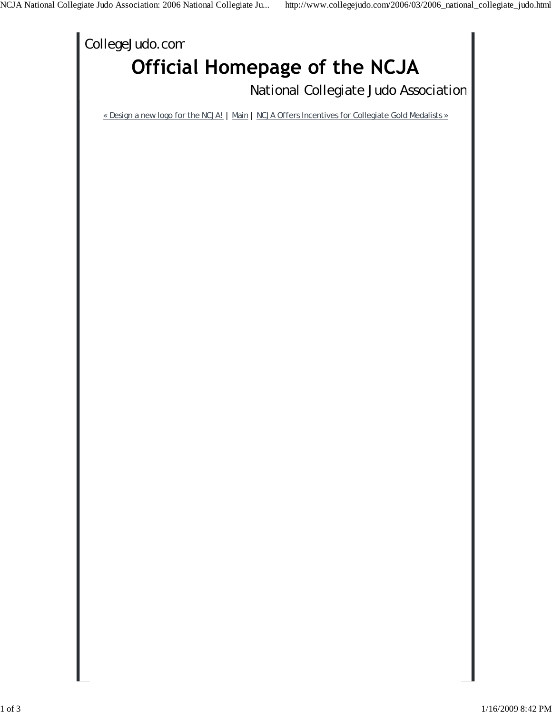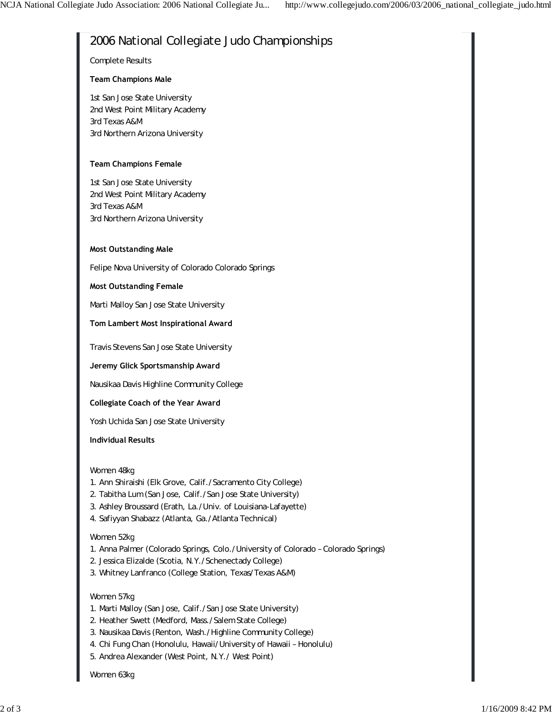# 2006 National Collegiate Judo Championships

# Complete Results

## **Team Champions Male**

1st San Jose State University 2nd West Point Military Academy 3rd Texas A&M 3rd Northern Arizona University

# **Team Champions Female**

1st San Jose State University 2nd West Point Military Academy 3rd Texas A&M 3rd Northern Arizona University

# **Most Outstanding Male**

Felipe Nova University of Colorado Colorado Springs

# **Most Outstanding Female**

Marti Malloy San Jose State University

# **Tom Lambert Most Inspirational Award**

Travis Stevens San Jose State University

## **Jeremy Glick Sportsmanship Award**

Nausikaa Davis Highline Community College

# **Collegiate Coach of the Year Award**

Yosh Uchida San Jose State University

# **Individual Results**

Women 48kg

- 1. Ann Shiraishi (Elk Grove, Calif./Sacramento City College)
- 2. Tabitha Lum (San Jose, Calif./San Jose State University)
- 3. Ashley Broussard (Erath, La./Univ. of Louisiana-Lafayette)
- 4. Safiyyan Shabazz (Atlanta, Ga./Atlanta Technical)

Women 52kg

- 1. Anna Palmer (Colorado Springs, Colo./University of Colorado Colorado Springs)
- 2. Jessica Elizalde (Scotia, N.Y./Schenectady College)
- 3. Whitney Lanfranco (College Station, Texas/Texas A&M)

Women 57kg

- 1. Marti Malloy (San Jose, Calif./San Jose State University)
- 2. Heather Swett (Medford, Mass./Salem State College)
- 3. Nausikaa Davis (Renton, Wash./Highline Community College)
- 4. Chi Fung Chan (Honolulu, Hawaii/University of Hawaii Honolulu)
- 5. Andrea Alexander (West Point, N.Y./ West Point)

Women 63kg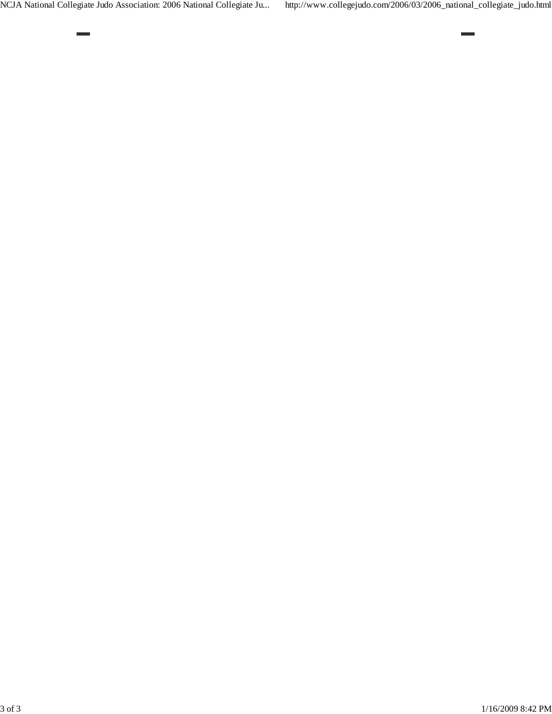×.

NCJA National Collegiate Judo Association: 2006 National Collegiate Ju... http://www.collegejudo.com/2006/03/2006\_national\_collegiate\_judo.html

**College**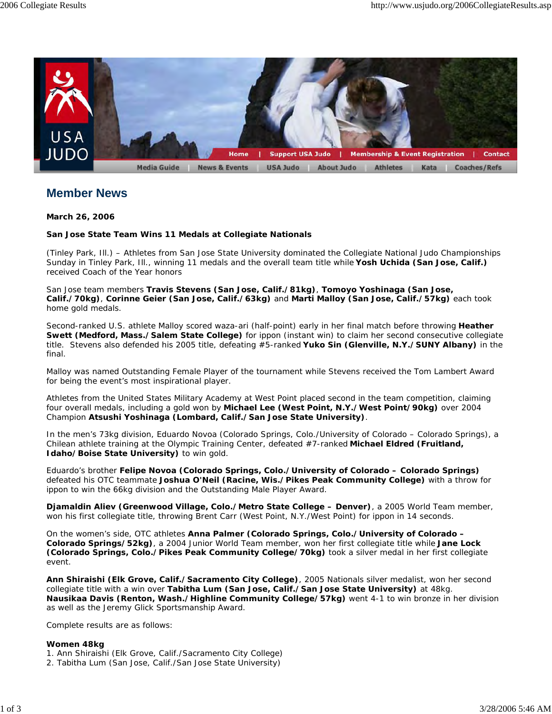

# **Member News**

#### **March 26, 2006**

#### **San Jose State Team Wins 11 Medals at Collegiate Nationals**

(Tinley Park, Ill.) – Athletes from San Jose State University dominated the Collegiate National Judo Championships Sunday in Tinley Park, Ill., winning 11 medals and the overall team title while **Yosh Uchida (San Jose, Calif.)**  received Coach of the Year honors

San Jose team members **Travis Stevens (San Jose, Calif./81kg)**, **Tomoyo Yoshinaga (San Jose, Calif./70kg)**, **Corinne Geier (San Jose, Calif./63kg)** and **Marti Malloy (San Jose, Calif./57kg)** each took home gold medals.

Second-ranked U.S. athlete Malloy scored waza-ari (half-point) early in her final match before throwing **Heather Swett (Medford, Mass./Salem State College)** for ippon (instant win) to claim her second consecutive collegiate title. Stevens also defended his 2005 title, defeating #5-ranked **Yuko Sin (Glenville, N.Y./SUNY Albany)** in the final.

Malloy was named Outstanding Female Player of the tournament while Stevens received the Tom Lambert Award for being the event's most inspirational player.

Athletes from the United States Military Academy at West Point placed second in the team competition, claiming four overall medals, including a gold won by **Michael Lee (West Point, N.Y./West Point/90kg)** over 2004 Champion **Atsushi Yoshinaga (Lombard, Calif./San Jose State University)**.

In the men's 73kg division, Eduardo Novoa (Colorado Springs, Colo./University of Colorado – Colorado Springs), a Chilean athlete training at the Olympic Training Center, defeated #7-ranked **Michael Eldred (Fruitland, Idaho/Boise State University)** to win gold.

Eduardo's brother **Felipe Novoa (Colorado Springs, Colo./University of Colorado – Colorado Springs)** defeated his OTC teammate **Joshua O'Neil (Racine, Wis./Pikes Peak Community College)** with a throw for ippon to win the 66kg division and the Outstanding Male Player Award.

**Djamaldin Aliev (Greenwood Village, Colo./Metro State College – Denver)**, a 2005 World Team member, won his first collegiate title, throwing Brent Carr (West Point, N.Y./West Point) for ippon in 14 seconds.

On the women's side, OTC athletes **Anna Palmer (Colorado Springs, Colo./University of Colorado – Colorado Springs/52kg)**, a 2004 Junior World Team member, won her first collegiate title while **Jane Lock (Colorado Springs, Colo./Pikes Peak Community College/70kg)** took a silver medal in her first collegiate event.

**Ann Shiraishi (Elk Grove, Calif./Sacramento City College)**, 2005 Nationals silver medalist, won her second collegiate title with a win over **Tabitha Lum (San Jose, Calif./San Jose State University)** at 48kg. **Nausikaa Davis (Renton, Wash./Highline Community College/57kg)** went 4-1 to win bronze in her division as well as the Jeremy Glick Sportsmanship Award.

Complete results are as follows:

#### *Women 48kg*

- 1. Ann Shiraishi (Elk Grove, Calif./Sacramento City College)
- 2. Tabitha Lum (San Jose, Calif./San Jose State University)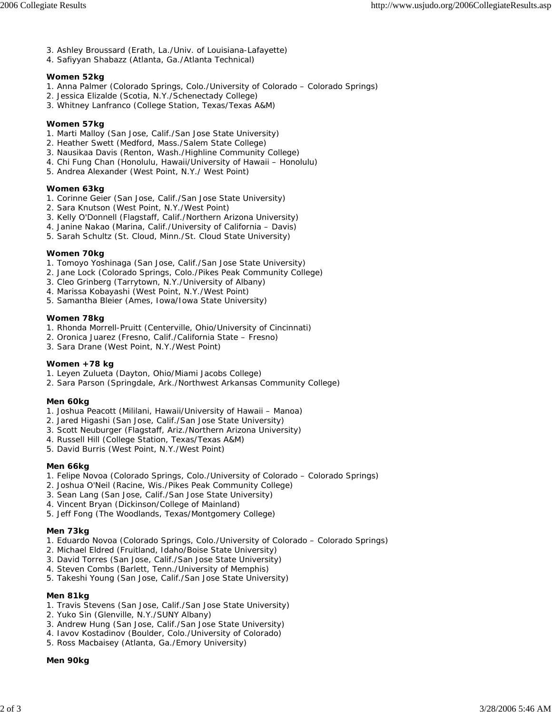- 3. Ashley Broussard (Erath, La./Univ. of Louisiana-Lafayette)
- 4. Safiyyan Shabazz (Atlanta, Ga./Atlanta Technical)

#### *Women 52kg*

- 1. Anna Palmer (Colorado Springs, Colo./University of Colorado Colorado Springs)
- 2. Jessica Elizalde (Scotia, N.Y./Schenectady College)
- 3. Whitney Lanfranco (College Station, Texas/Texas A&M)

#### *Women 57kg*

- 1. Marti Malloy (San Jose, Calif./San Jose State University)
- 2. Heather Swett (Medford, Mass./Salem State College)
- 3. Nausikaa Davis (Renton, Wash./Highline Community College)
- 4. Chi Fung Chan (Honolulu, Hawaii/University of Hawaii Honolulu)
- 5. Andrea Alexander (West Point, N.Y./ West Point)

#### *Women 63kg*

- 1. Corinne Geier (San Jose, Calif./San Jose State University)
- 2. Sara Knutson (West Point, N.Y./West Point)
- 3. Kelly O'Donnell (Flagstaff, Calif./Northern Arizona University)
- 4. Janine Nakao (Marina, Calif./University of California Davis)
- 5. Sarah Schultz (St. Cloud, Minn./St. Cloud State University)

#### *Women 70kg*

- 1. Tomoyo Yoshinaga (San Jose, Calif./San Jose State University)
- 2. Jane Lock (Colorado Springs, Colo./Pikes Peak Community College)
- 3. Cleo Grinberg (Tarrytown, N.Y./University of Albany)
- 4. Marissa Kobayashi (West Point, N.Y./West Point)
- 5. Samantha Bleier (Ames, Iowa/Iowa State University)

#### *Women 78kg*

- 1. Rhonda Morrell-Pruitt (Centerville, Ohio/University of Cincinnati)
- 2. Oronica Juarez (Fresno, Calif./California State Fresno)
- 3. Sara Drane (West Point, N.Y./West Point)

#### *Women +78 kg*

- 1. Leyen Zulueta (Dayton, Ohio/Miami Jacobs College)
- 2. Sara Parson (Springdale, Ark./Northwest Arkansas Community College)

#### *Men 60kg*

- 1. Joshua Peacott (Mililani, Hawaii/University of Hawaii Manoa)
- 2. Jared Higashi (San Jose, Calif./San Jose State University)
- 3. Scott Neuburger (Flagstaff, Ariz./Northern Arizona University)
- 4. Russell Hill (College Station, Texas/Texas A&M)
- 5. David Burris (West Point, N.Y./West Point)

#### *Men 66kg*

- 1. Felipe Novoa (Colorado Springs, Colo./University of Colorado Colorado Springs)
- 2. Joshua O'Neil (Racine, Wis./Pikes Peak Community College)
- 3. Sean Lang (San Jose, Calif./San Jose State University)
- 4. Vincent Bryan (Dickinson/College of Mainland)
- 5. Jeff Fong (The Woodlands, Texas/Montgomery College)

#### *Men 73kg*

- 1. Eduardo Novoa (Colorado Springs, Colo./University of Colorado Colorado Springs)
- 2. Michael Eldred (Fruitland, Idaho/Boise State University)
- 3. David Torres (San Jose, Calif./San Jose State University)
- 4. Steven Combs (Barlett, Tenn./University of Memphis)
- 5. Takeshi Young (San Jose, Calif./San Jose State University)

#### *Men 81kg*

- 1. Travis Stevens (San Jose, Calif./San Jose State University)
- 2. Yuko Sin (Glenville, N.Y./SUNY Albany)
- 3. Andrew Hung (San Jose, Calif./San Jose State University)
- 4. Iavov Kostadinov (Boulder, Colo./University of Colorado)
- 5. Ross Macbaisey (Atlanta, Ga./Emory University)

#### *Men 90kg*